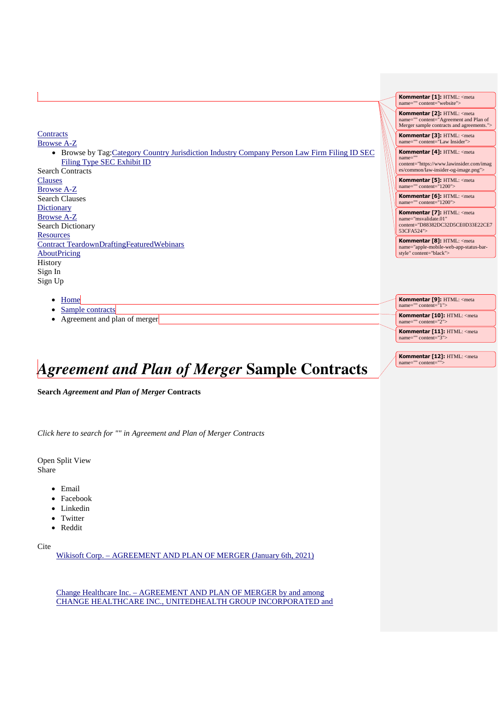|                                                                                                                                                        | Kommentar [1]: HTML: <meta<br>name="" content="website"&gt;</meta<br>                                                                    |
|--------------------------------------------------------------------------------------------------------------------------------------------------------|------------------------------------------------------------------------------------------------------------------------------------------|
|                                                                                                                                                        | Kommentar [2]: HTML: <meta<br>name="" content="Agreement and Plan of<br/>Merger sample contracts and agreements."&gt;</meta<br>          |
| Contracts<br><b>Browse A-Z</b>                                                                                                                         | Kommentar [3]: HTML: <meta<br>name="" content="Law Insider"&gt;</meta<br>                                                                |
| • Browse by Tag: Category Country Jurisdiction Industry Company Person Law Firm Filing ID SEC<br>Filing Type SEC Exhibit ID<br><b>Search Contracts</b> | Kommentar [4]: HTML: <meta<br>name=""<br/>content="https://www.lawinsider.com/imag<br/>es/common/law-insider-og-image.png"&gt;</meta<br> |
| <b>Clauses</b><br><b>Browse A-Z</b>                                                                                                                    | Kommentar [5]: HTML: <meta<br>name="" content="1200"&gt;</meta<br>                                                                       |
| <b>Search Clauses</b>                                                                                                                                  | Kommentar [6]: HTML: <meta<br>name="" content="1200"&gt;</meta<br>                                                                       |
| <b>Dictionary</b><br><b>Browse A-Z</b><br>Search Dictionary                                                                                            | Kommentar [7]: HTML: <meta<br>name="msvalidate.01"<br/>content="D88382DC32D5CE0D33E22CE7<br/>53CFA524"&gt;</meta<br>                     |
| <b>Resources</b><br><b>Contract TeardownDraftingFeaturedWebinars</b><br><b>AboutPricing</b>                                                            | Kommentar [8]: HTML: <meta<br>name="apple-mobile-web-app-status-bar-<br/>style" content="black"&gt;</meta<br>                            |
| History                                                                                                                                                |                                                                                                                                          |
| Sign In<br>Sign Up                                                                                                                                     |                                                                                                                                          |
| Home<br>$\bullet$                                                                                                                                      | Kommentar [9]: HTML: <meta<br>name="" content="1"&gt;</meta<br>                                                                          |
| Sample contracts<br>٠<br>Agreement and plan of merger<br>٠                                                                                             | Kommentar [10]: HTML: <meta<br>name="" content="2"&gt;</meta<br>                                                                         |

Kommentar [11]: HTML: <meta name="" content="3">

**Kommentar [12]:** HTML: <meta name="" content=

# *Agreement and Plan of Merger* **Sample Contracts**

**Search** *Agreement and Plan of Merger* **Contracts**

*Click here to search for "" in Agreement and Plan of Merger Contracts*

Open Split View Share

- Email
- Facebook
- Linkedin
- Twitter
- Reddit

Cite

Wikisoft Corp. – AGREEMENT AND PLAN OF MERGER (January 6th, 2021)

Change Healthcare Inc. – AGREEMENT AND PLAN OF MERGER by and among CHANGE HEALTHCARE INC., UNITEDHEALTH GROUP INCORPORATED and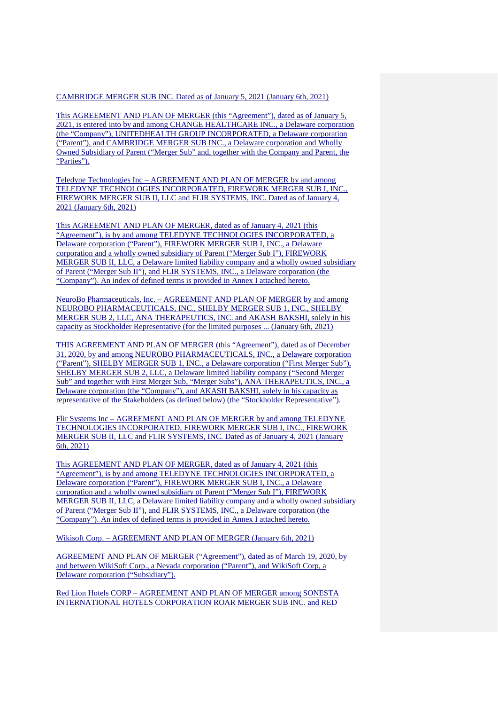#### CAMBRIDGE MERGER SUB INC. Dated as of January 5, 2021 (January 6th, 2021)

This AGREEMENT AND PLAN OF MERGER (this "Agreement"), dated as of January 5, 2021, is entered into by and among CHANGE HEALTHCARE INC., a Delaware corporation (the "Company"), UNITEDHEALTH GROUP INCORPORATED, a Delaware corporation ("Parent"), and CAMBRIDGE MERGER SUB INC., a Delaware corporation and Wholly Owned Subsidiary of Parent ("Merger Sub" and, together with the Company and Parent, the "Parties").

Teledyne Technologies Inc – AGREEMENT AND PLAN OF MERGER by and among TELEDYNE TECHNOLOGIES INCORPORATED, FIREWORK MERGER SUB I, INC., FIREWORK MERGER SUB II, LLC and FLIR SYSTEMS, INC. Dated as of January 4, 2021 (January 6th, 2021)

This AGREEMENT AND PLAN OF MERGER, dated as of January 4, 2021 (this "Agreement"), is by and among TELEDYNE TECHNOLOGIES INCORPORATED, a Delaware corporation ("Parent"), FIREWORK MERGER SUB I, INC., a Delaware corporation and a wholly owned subsidiary of Parent ("Merger Sub I"), FIREWORK MERGER SUB II, LLC, a Delaware limited liability company and a wholly owned subsidiary of Parent ("Merger Sub II"), and FLIR SYSTEMS, INC., a Delaware corporation (the "Company"). An index of defined terms is provided in Annex I attached hereto.

NeuroBo Pharmaceuticals, Inc. – AGREEMENT AND PLAN OF MERGER by and among NEUROBO PHARMACEUTICALS, INC., SHELBY MERGER SUB 1, INC., SHELBY MERGER SUB 2, LLC, ANA THERAPEUTICS, INC. and AKASH BAKSHI, solely in his capacity as Stockholder Representative (for the limited purposes ... (January 6th, 2021)

THIS AGREEMENT AND PLAN OF MERGER (this "Agreement"), dated as of December 31, 2020, by and among NEUROBO PHARMACEUTICALS, INC., a Delaware corporation ("Parent"), SHELBY MERGER SUB 1, INC., a Delaware corporation ("First Merger Sub"), SHELBY MERGER SUB 2, LLC, a Delaware limited liability company ("Second Merger Sub" and together with First Merger Sub, "Merger Subs"), ANA THERAPEUTICS, INC., a Delaware corporation (the "Company"), and AKASH BAKSHI, solely in his capacity as representative of the Stakeholders (as defined below) (the "Stockholder Representative").

Flir Systems Inc – AGREEMENT AND PLAN OF MERGER by and among TELEDYNE TECHNOLOGIES INCORPORATED, FIREWORK MERGER SUB I, INC., FIREWORK MERGER SUB II, LLC and FLIR SYSTEMS, INC. Dated as of January 4, 2021 (January 6th, 2021)

This AGREEMENT AND PLAN OF MERGER, dated as of January 4, 2021 (this "Agreement"), is by and among TELEDYNE TECHNOLOGIES INCORPORATED, a Delaware corporation ("Parent"), FIREWORK MERGER SUB I, INC., a Delaware corporation and a wholly owned subsidiary of Parent ("Merger Sub I"), FIREWORK MERGER SUB II, LLC, a Delaware limited liability company and a wholly owned subsidiary of Parent ("Merger Sub II"), and FLIR SYSTEMS, INC., a Delaware corporation (the "Company"). An index of defined terms is provided in Annex I attached hereto.

Wikisoft Corp. – AGREEMENT AND PLAN OF MERGER (January 6th, 2021)

AGREEMENT AND PLAN OF MERGER ("Agreement"), dated as of March 19, 2020, by and between WikiSoft Corp., a Nevada corporation ("Parent"), and WikiSoft Corp, a Delaware corporation ("Subsidiary").

Red Lion Hotels CORP – AGREEMENT AND PLAN OF MERGER among SONESTA INTERNATIONAL HOTELS CORPORATION ROAR MERGER SUB INC. and RED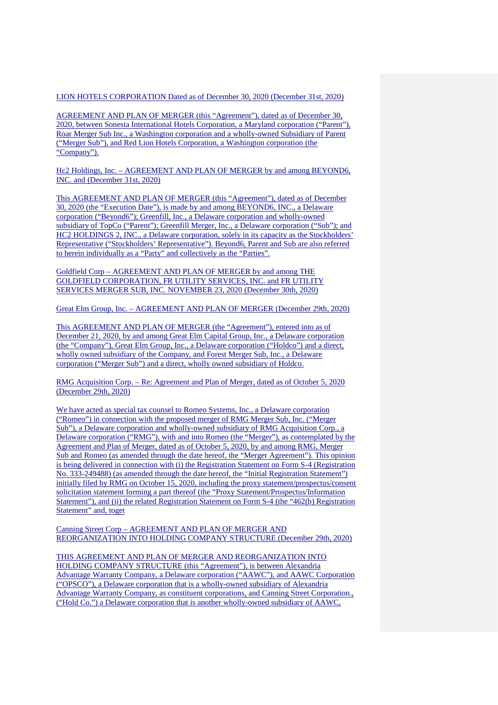#### LION HOTELS CORPORATION Dated as of December 30, 2020 (December 31st, 2020)

AGREEMENT AND PLAN OF MERGER (this "Agreement"), dated as of December 30, 2020, between Sonesta International Hotels Corporation, a Maryland corporation ("Parent"), Roar Merger Sub Inc., a Washington corporation and a wholly-owned Subsidiary of Parent ("Merger Sub"), and Red Lion Hotels Corporation, a Washington corporation (the "Company").

Hc2 Holdings, Inc. – AGREEMENT AND PLAN OF MERGER by and among BEYOND6, INC. and (December 31st, 2020)

This AGREEMENT AND PLAN OF MERGER (this "Agreement"), dated as of December 30, 2020 (the "Execution Date"), is made by and among BEYOND6, INC., a Delaware corporation ("Beyond6"); Greenfill, Inc., a Delaware corporation and wholly-owned subsidiary of TopCo ("Parent"); Greenfill Merger, Inc., a Delaware corporation ("Sub"); and HC2 HOLDINGS 2, INC., a Delaware corporation, solely in its capacity as the Stockholders' Representative ("Stockholders' Representative"). Beyond6, Parent and Sub are also referred to herein individually as a "Party" and collectively as the "Parties".

Goldfield Corp – AGREEMENT AND PLAN OF MERGER by and among THE GOLDFIELD CORPORATION, FR UTILITY SERVICES, INC. and FR UTILITY SERVICES MERGER SUB, INC. NOVEMBER 23, 2020 (December 30th, 2020)

Great Elm Group, Inc. – AGREEMENT AND PLAN OF MERGER (December 29th, 2020)

This AGREEMENT AND PLAN OF MERGER (the "Agreement"), entered into as of December 21, 2020, by and among Great Elm Capital Group, Inc., a Delaware corporation (the "Company"), Great Elm Group, Inc., a Delaware corporation ("Holdco") and a direct, wholly owned subsidiary of the Company, and Forest Merger Sub, Inc., a Delaware corporation ("Merger Sub") and a direct, wholly owned subsidiary of Holdco.

RMG Acquisition Corp. – Re: Agreement and Plan of Merger, dated as of October 5, 2020 (December 29th, 2020)

We have acted as special tax counsel to Romeo Systems, Inc., a Delaware corporation ("Romeo") in connection with the proposed merger of RMG Merger Sub, Inc. ("Merger Sub"), a Delaware corporation and wholly-owned subsidiary of RMG Acquisition Corp., a Delaware corporation ("RMG"), with and into Romeo (the "Merger"), as contemplated by the Agreement and Plan of Merger, dated as of October 5, 2020, by and among RMG, Merger Sub and Romeo (as amended through the date hereof, the "Merger Agreement"). This opinion is being delivered in connection with (i) the Registration Statement on Form S-4 (Registration No. 333-249488) (as amended through the date hereof, the "Initial Registration Statement") initially filed by RMG on October 15, 2020, including the proxy statement/prospectus/consent solicitation statement forming a part thereof (the "Proxy Statement/Prospectus/Information Statement"), and (ii) the related Registration Statement on Form S-4 (the "462(b) Registration Statement" and, toget

Canning Street Corp – AGREEMENT AND PLAN OF MERGER AND REORGANIZATION INTO HOLDING COMPANY STRUCTURE (December 29th, 2020)

THIS AGREEMENT AND PLAN OF MERGER AND REORGANIZATION INTO HOLDING COMPANY STRUCTURE (this "Agreement"), is between Alexandria Advantage Warranty Company, a Delaware corporation ("AAWC"), and AAWC Corporation ("OPSCO"), a Delaware corporation that is a wholly-owned subsidiary of Alexandria Advantage Warranty Company, as constituent corporations, and Canning Street Corporation., ("Hold Co.") a Delaware corporation that is another wholly-owned subsidiary of AAWC,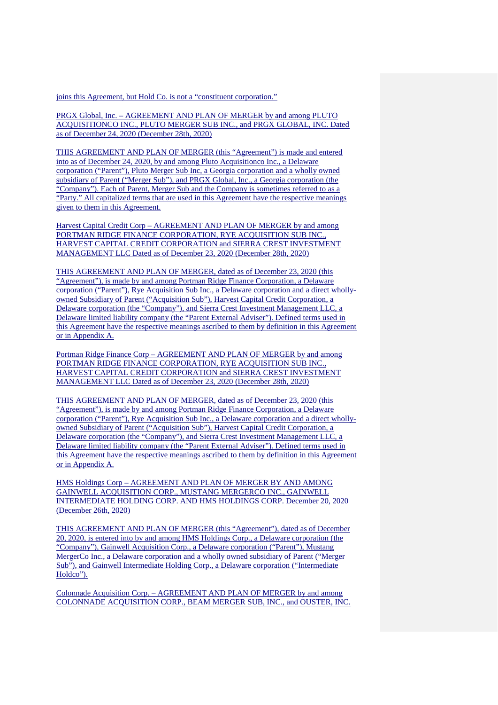joins this Agreement, but Hold Co. is not a "constituent corporation."

PRGX Global, Inc. – AGREEMENT AND PLAN OF MERGER by and among PLUTO ACQUISITIONCO INC., PLUTO MERGER SUB INC., and PRGX GLOBAL, INC. Dated as of December 24, 2020 (December 28th, 2020)

THIS AGREEMENT AND PLAN OF MERGER (this "Agreement") is made and entered into as of December 24, 2020, by and among Pluto Acquisitionco Inc., a Delaware corporation ("Parent"), Pluto Merger Sub Inc, a Georgia corporation and a wholly owned subsidiary of Parent ("Merger Sub"), and PRGX Global, Inc., a Georgia corporation (the "Company"). Each of Parent, Merger Sub and the Company is sometimes referred to as a "Party." All capitalized terms that are used in this Agreement have the respective meanings given to them in this Agreement.

Harvest Capital Credit Corp – AGREEMENT AND PLAN OF MERGER by and among PORTMAN RIDGE FINANCE CORPORATION, RYE ACOUISITION SUB INC., HARVEST CAPITAL CREDIT CORPORATION and SIERRA CREST INVESTMENT MANAGEMENT LLC Dated as of December 23, 2020 (December 28th, 2020)

THIS AGREEMENT AND PLAN OF MERGER, dated as of December 23, 2020 (this "Agreement"), is made by and among Portman Ridge Finance Corporation, a Delaware corporation ("Parent"), Rye Acquisition Sub Inc., a Delaware corporation and a direct whollyowned Subsidiary of Parent ("Acquisition Sub"), Harvest Capital Credit Corporation, a Delaware corporation (the "Company"), and Sierra Crest Investment Management LLC, a Delaware limited liability company (the "Parent External Adviser"). Defined terms used in this Agreement have the respective meanings ascribed to them by definition in this Agreement or in Appendix A.

Portman Ridge Finance Corp – AGREEMENT AND PLAN OF MERGER by and among PORTMAN RIDGE FINANCE CORPORATION, RYE ACQUISITION SUB INC., HARVEST CAPITAL CREDIT CORPORATION and SIERRA CREST INVESTMENT MANAGEMENT LLC Dated as of December 23, 2020 (December 28th, 2020)

THIS AGREEMENT AND PLAN OF MERGER, dated as of December 23, 2020 (this "Agreement"), is made by and among Portman Ridge Finance Corporation, a Delaware corporation ("Parent"), Rye Acquisition Sub Inc., a Delaware corporation and a direct whollyowned Subsidiary of Parent ("Acquisition Sub"), Harvest Capital Credit Corporation, a Delaware corporation (the "Company"), and Sierra Crest Investment Management LLC, a Delaware limited liability company (the "Parent External Adviser"). Defined terms used in this Agreement have the respective meanings ascribed to them by definition in this Agreement or in Appendix A.

HMS Holdings Corp – AGREEMENT AND PLAN OF MERGER BY AND AMONG GAINWELL ACQUISITION CORP., MUSTANG MERGERCO INC., GAINWELL INTERMEDIATE HOLDING CORP. AND HMS HOLDINGS CORP. December 20, 2020 (December 26th, 2020)

THIS AGREEMENT AND PLAN OF MERGER (this "Agreement"), dated as of December 20, 2020, is entered into by and among HMS Holdings Corp., a Delaware corporation (the "Company"), Gainwell Acquisition Corp., a Delaware corporation ("Parent"), Mustang MergerCo Inc., a Delaware corporation and a wholly owned subsidiary of Parent ("Merger Sub"), and Gainwell Intermediate Holding Corp., a Delaware corporation ("Intermediate Holdco").

Colonnade Acquisition Corp. – AGREEMENT AND PLAN OF MERGER by and among COLONNADE ACQUISITION CORP., BEAM MERGER SUB, INC., and OUSTER, INC.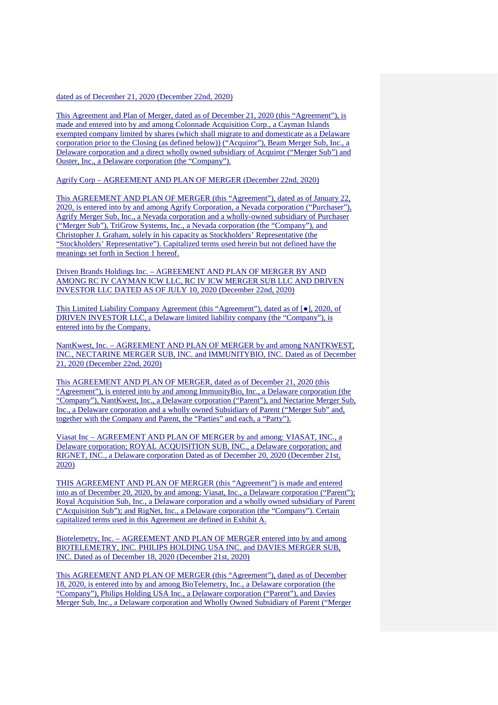#### dated as of December 21, 2020 (December 22nd, 2020)

This Agreement and Plan of Merger, dated as of December 21, 2020 (this "Agreement"), is made and entered into by and among Colonnade Acquisition Corp., a Cayman Islands exempted company limited by shares (which shall migrate to and domesticate as a Delaware corporation prior to the Closing (as defined below)) ("Acquiror"), Beam Merger Sub, Inc., a Delaware corporation and a direct wholly owned subsidiary of Acquiror ("Merger Sub") and Ouster, Inc., a Delaware corporation (the "Company").

Agrify Corp – AGREEMENT AND PLAN OF MERGER (December 22nd, 2020)

This AGREEMENT AND PLAN OF MERGER (this "Agreement"), dated as of January 22, 2020, is entered into by and among Agrify Corporation, a Nevada corporation ("Purchaser"), Agrify Merger Sub, Inc., a Nevada corporation and a wholly-owned subsidiary of Purchaser ("Merger Sub"), TriGrow Systems, Inc., a Nevada corporation (the "Company"), and Christopher J. Graham, solely in his capacity as Stockholders' Representative (the "Stockholders' Representative"). Capitalized terms used herein but not defined have the meanings set forth in Section 1 hereof.

Driven Brands Holdings Inc. – AGREEMENT AND PLAN OF MERGER BY AND AMONG RC IV CAYMAN ICW LLC, RC IV ICW MERGER SUB LLC AND DRIVEN INVESTOR LLC DATED AS OF JULY 10, 2020 (December 22nd, 2020)

This Limited Liability Company Agreement (this "Agreement"), dated as of [●], 2020, of DRIVEN INVESTOR LLC, a Delaware limited liability company (the "Company"), is entered into by the Company.

NantKwest, Inc. – AGREEMENT AND PLAN OF MERGER by and among NANTKWEST, INC., NECTARINE MERGER SUB, INC. and IMMUNITYBIO, INC. Dated as of December 21, 2020 (December 22nd, 2020)

This AGREEMENT AND PLAN OF MERGER, dated as of December 21, 2020 (this "Agreement"), is entered into by and among ImmunityBio, Inc., a Delaware corporation (the "Company"), NantKwest, Inc., a Delaware corporation ("Parent"), and Nectarine Merger Sub, Inc., a Delaware corporation and a wholly owned Subsidiary of Parent ("Merger Sub" and, together with the Company and Parent, the "Parties" and each, a "Party").

Viasat Inc – AGREEMENT AND PLAN OF MERGER by and among: VIASAT, INC., a Delaware corporation; ROYAL ACQUISITION SUB, INC., a Delaware corporation; and RIGNET, INC., a Delaware corporation Dated as of December 20, 2020 (December 21st, 2020)

THIS AGREEMENT AND PLAN OF MERGER (this "Agreement") is made and entered into as of December 20, 2020, by and among: Viasat, Inc., a Delaware corporation ("Parent"); Royal Acquisition Sub, Inc., a Delaware corporation and a wholly owned subsidiary of Parent ("Acquisition Sub"); and RigNet, Inc., a Delaware corporation (the "Company"). Certain capitalized terms used in this Agreement are defined in Exhibit A.

Biotelemetry, Inc. – AGREEMENT AND PLAN OF MERGER entered into by and among BIOTELEMETRY, INC. PHILIPS HOLDING USA INC. and DAVIES MERGER SUB, INC. Dated as of December 18, 2020 (December 21st, 2020)

This AGREEMENT AND PLAN OF MERGER (this "Agreement"), dated as of December 18, 2020, is entered into by and among BioTelemetry, Inc., a Delaware corporation (the "Company"), Philips Holding USA Inc., a Delaware corporation ("Parent"), and Davies Merger Sub, Inc., a Delaware corporation and Wholly Owned Subsidiary of Parent ("Merger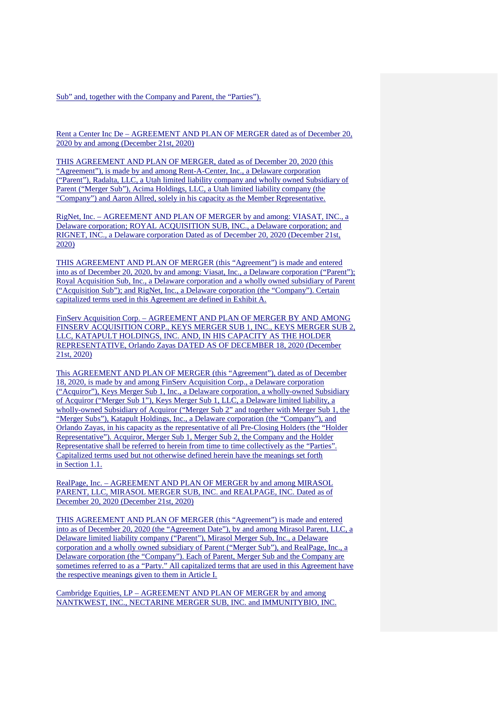Sub" and, together with the Company and Parent, the "Parties").

Rent a Center Inc De – AGREEMENT AND PLAN OF MERGER dated as of December 20, 2020 by and among (December 21st, 2020)

THIS AGREEMENT AND PLAN OF MERGER, dated as of December 20, 2020 (this "Agreement"), is made by and among Rent-A-Center, Inc., a Delaware corporation ("Parent"), Radalta, LLC, a Utah limited liability company and wholly owned Subsidiary of Parent ("Merger Sub"), Acima Holdings, LLC, a Utah limited liability company (the "Company") and Aaron Allred, solely in his capacity as the Member Representative.

RigNet, Inc. – AGREEMENT AND PLAN OF MERGER by and among: VIASAT, INC., a Delaware corporation; ROYAL ACQUISITION SUB, INC., a Delaware corporation; and RIGNET, INC., a Delaware corporation Dated as of December 20, 2020 (December 21st, 2020)

THIS AGREEMENT AND PLAN OF MERGER (this "Agreement") is made and entered into as of December 20, 2020, by and among: Viasat, Inc., a Delaware corporation ("Parent"); Royal Acquisition Sub, Inc., a Delaware corporation and a wholly owned subsidiary of Parent ("Acquisition Sub"); and RigNet, Inc., a Delaware corporation (the "Company"). Certain capitalized terms used in this Agreement are defined in Exhibit A.

FinServ Acquisition Corp. – AGREEMENT AND PLAN OF MERGER BY AND AMONG FINSERV ACQUISITION CORP., KEYS MERGER SUB 1, INC., KEYS MERGER SUB 2, LLC, KATAPULT HOLDINGS, INC. AND, IN HIS CAPACITY AS THE HOLDER REPRESENTATIVE, Orlando Zayas DATED AS OF DECEMBER 18, 2020 (December 21st, 2020)

This AGREEMENT AND PLAN OF MERGER (this "Agreement"), dated as of December 18, 2020, is made by and among FinServ Acquisition Corp., a Delaware corporation ("Acquiror"), Keys Merger Sub 1, Inc., a Delaware corporation, a wholly-owned Subsidiary of Acquiror ("Merger Sub 1"), Keys Merger Sub 1, LLC, a Delaware limited liability, a wholly-owned Subsidiary of Acquiror ("Merger Sub 2" and together with Merger Sub 1, the "Merger Subs"), Katapult Holdings, Inc., a Delaware corporation (the "Company"), and Orlando Zayas, in his capacity as the representative of all Pre-Closing Holders (the "Holder Representative"). Acquiror, Merger Sub 1, Merger Sub 2, the Company and the Holder Representative shall be referred to herein from time to time collectively as the "Parties". Capitalized terms used but not otherwise defined herein have the meanings set forth in Section 1.1.

RealPage, Inc. – AGREEMENT AND PLAN OF MERGER by and among MIRASOL PARENT, LLC, MIRASOL MERGER SUB, INC. and REALPAGE, INC. Dated as of December 20, 2020 (December 21st, 2020)

THIS AGREEMENT AND PLAN OF MERGER (this "Agreement") is made and entered into as of December 20, 2020 (the "Agreement Date"), by and among Mirasol Parent, LLC, a Delaware limited liability company ("Parent"), Mirasol Merger Sub, Inc., a Delaware corporation and a wholly owned subsidiary of Parent ("Merger Sub"), and RealPage, Inc., a Delaware corporation (the "Company"). Each of Parent, Merger Sub and the Company are sometimes referred to as a "Party." All capitalized terms that are used in this Agreement have the respective meanings given to them in Article I.

Cambridge Equities, LP – AGREEMENT AND PLAN OF MERGER by and among NANTKWEST, INC., NECTARINE MERGER SUB, INC. and IMMUNITYBIO, INC.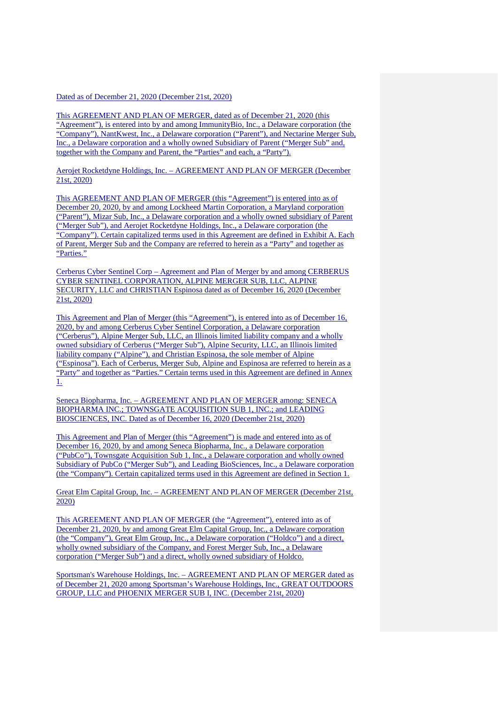#### Dated as of December 21, 2020 (December 21st, 2020)

This AGREEMENT AND PLAN OF MERGER, dated as of December 21, 2020 (this "Agreement"), is entered into by and among ImmunityBio, Inc., a Delaware corporation (the "Company"), NantKwest, Inc., a Delaware corporation ("Parent"), and Nectarine Merger Sub, Inc., a Delaware corporation and a wholly owned Subsidiary of Parent ("Merger Sub" and, together with the Company and Parent, the "Parties" and each, a "Party").

Aerojet Rocketdyne Holdings, Inc. – AGREEMENT AND PLAN OF MERGER (December 21st, 2020)

This AGREEMENT AND PLAN OF MERGER (this "Agreement") is entered into as of December 20, 2020, by and among Lockheed Martin Corporation, a Maryland corporation ("Parent"), Mizar Sub, Inc., a Delaware corporation and a wholly owned subsidiary of Parent ("Merger Sub"), and Aerojet Rocketdyne Holdings, Inc., a Delaware corporation (the "Company"). Certain capitalized terms used in this Agreement are defined in Exhibit A. Each of Parent, Merger Sub and the Company are referred to herein as a "Party" and together as "Parties."

Cerberus Cyber Sentinel Corp – Agreement and Plan of Merger by and among CERBERUS CYBER SENTINEL CORPORATION, ALPINE MERGER SUB, LLC, ALPINE SECURITY, LLC and CHRISTIAN Espinosa dated as of December 16, 2020 (December 21st, 2020)

This Agreement and Plan of Merger (this "Agreement"), is entered into as of December 16, 2020, by and among Cerberus Cyber Sentinel Corporation, a Delaware corporation ("Cerberus"), Alpine Merger Sub, LLC, an Illinois limited liability company and a wholly owned subsidiary of Cerberus ("Merger Sub"), Alpine Security, LLC, an Illinois limited liability company ("Alpine"), and Christian Espinosa, the sole member of Alpine ("Espinosa"). Each of Cerberus, Merger Sub, Alpine and Espinosa are referred to herein as a "Party" and together as "Parties." Certain terms used in this Agreement are defined in Annex 1.

Seneca Biopharma, Inc. – AGREEMENT AND PLAN OF MERGER among: SENECA BIOPHARMA INC.; TOWNSGATE ACQUISITION SUB 1, INC.; and LEADING BIOSCIENCES, INC. Dated as of December 16, 2020 (December 21st, 2020)

This Agreement and Plan of Merger (this "Agreement") is made and entered into as of December 16, 2020, by and among Seneca Biopharma, Inc., a Delaware corporation ("PubCo"), Townsgate Acquisition Sub 1, Inc., a Delaware corporation and wholly owned Subsidiary of PubCo ("Merger Sub"), and Leading BioSciences, Inc., a Delaware corporation (the "Company"). Certain capitalized terms used in this Agreement are defined in Section 1.

Great Elm Capital Group, Inc. – AGREEMENT AND PLAN OF MERGER (December 21st, 2020)

This AGREEMENT AND PLAN OF MERGER (the "Agreement"), entered into as of December 21, 2020, by and among Great Elm Capital Group, Inc., a Delaware corporation (the "Company"), Great Elm Group, Inc., a Delaware corporation ("Holdco") and a direct, wholly owned subsidiary of the Company, and Forest Merger Sub, Inc., a Delaware corporation ("Merger Sub") and a direct, wholly owned subsidiary of Holdco.

Sportsman's Warehouse Holdings, Inc. – AGREEMENT AND PLAN OF MERGER dated as of December 21, 2020 among Sportsman's Warehouse Holdings, Inc., GREAT OUTDOORS GROUP, LLC and PHOENIX MERGER SUB I, INC. (December 21st, 2020)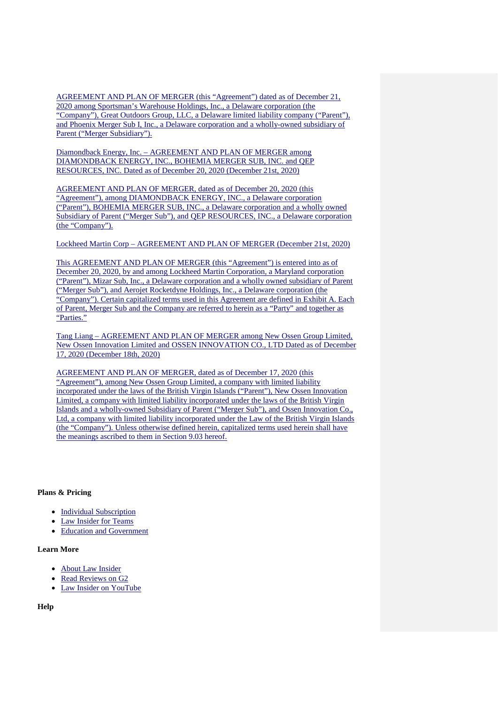AGREEMENT AND PLAN OF MERGER (this "Agreement") dated as of December 21, 2020 among Sportsman's Warehouse Holdings, Inc., a Delaware corporation (the "Company"), Great Outdoors Group, LLC, a Delaware limited liability company ("Parent"), and Phoenix Merger Sub I, Inc., a Delaware corporation and a wholly-owned subsidiary of Parent ("Merger Subsidiary").

Diamondback Energy, Inc. – AGREEMENT AND PLAN OF MERGER among DIAMONDBACK ENERGY, INC., BOHEMIA MERGER SUB, INC. and QEP RESOURCES, INC. Dated as of December 20, 2020 (December 21st, 2020)

AGREEMENT AND PLAN OF MERGER, dated as of December 20, 2020 (this "Agreement"), among DIAMONDBACK ENERGY, INC., a Delaware corporation ("Parent"), BOHEMIA MERGER SUB, INC., a Delaware corporation and a wholly owned Subsidiary of Parent ("Merger Sub"), and QEP RESOURCES, INC., a Delaware corporation (the "Company").

Lockheed Martin Corp – AGREEMENT AND PLAN OF MERGER (December 21st, 2020)

This AGREEMENT AND PLAN OF MERGER (this "Agreement") is entered into as of December 20, 2020, by and among Lockheed Martin Corporation, a Maryland corporation ("Parent"), Mizar Sub, Inc., a Delaware corporation and a wholly owned subsidiary of Parent ("Merger Sub"), and Aerojet Rocketdyne Holdings, Inc., a Delaware corporation (the "Company"). Certain capitalized terms used in this Agreement are defined in Exhibit A. Each of Parent, Merger Sub and the Company are referred to herein as a "Party" and together as "Parties."

Tang Liang – AGREEMENT AND PLAN OF MERGER among New Ossen Group Limited, New Ossen Innovation Limited and OSSEN INNOVATION CO., LTD Dated as of December 17, 2020 (December 18th, 2020)

AGREEMENT AND PLAN OF MERGER, dated as of December 17, 2020 (this "Agreement"), among New Ossen Group Limited, a company with limited liability incorporated under the laws of the British Virgin Islands ("Parent"), New Ossen Innovation Limited, a company with limited liability incorporated under the laws of the British Virgin Islands and a wholly-owned Subsidiary of Parent ("Merger Sub"), and Ossen Innovation Co., Ltd, a company with limited liability incorporated under the Law of the British Virgin Islands (the "Company"). Unless otherwise defined herein, capitalized terms used herein shall have the meanings ascribed to them in Section 9.03 hereof.

### **Plans & Pricing**

- Individual Subscription
- Law Insider for Teams
- Education and Government

## **Learn More**

- About Law Insider
- [Read Reviews on G2](https://www.g2.com/products/lawinsider-contract-and-clause-search/reviews)
- [Law Insider on YouTube](https://www.youtube.com/channel/UC82DhYYmoq1rTXLkRYjpnOA?view_as=subscriber)

**Help**